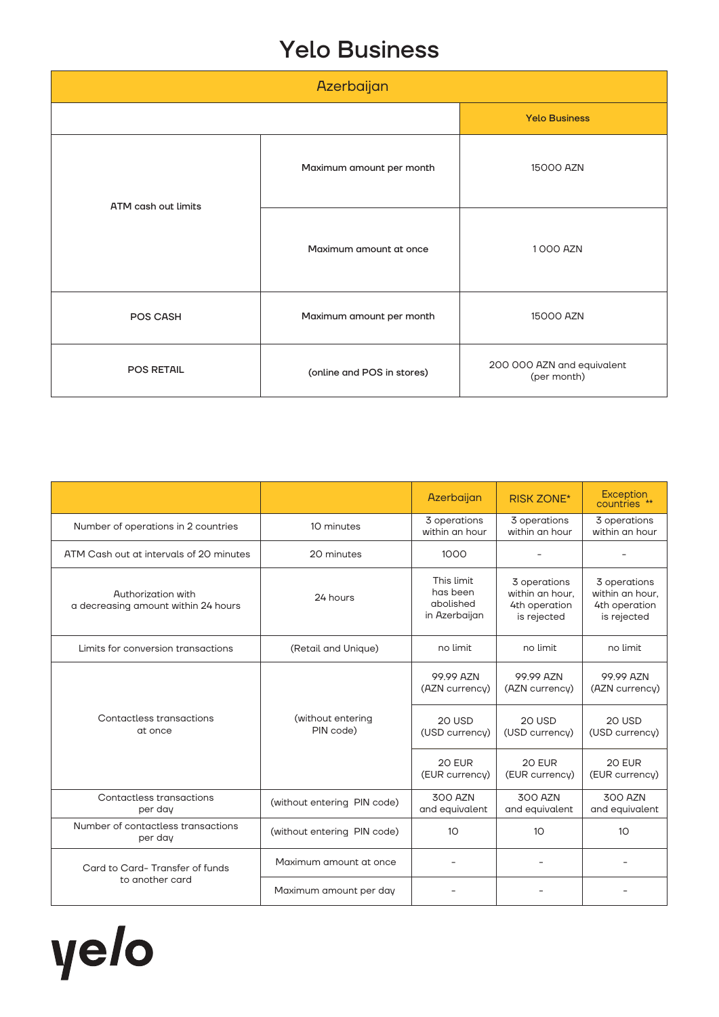## Yelo Business

| Azerbaijan          |                            |                                           |  |
|---------------------|----------------------------|-------------------------------------------|--|
|                     |                            | <b>Yelo Business</b>                      |  |
| ATM cash out limits | Maximum amount per month   | 15000 AZN                                 |  |
|                     | Maximum amount at once     | 1000 AZN                                  |  |
| POS CASH            | Maximum amount per month   | 15000 AZN                                 |  |
| POS RETAIL          | (online and POS in stores) | 200 000 AZN and equivalent<br>(per month) |  |

|                                                           |                                | Azerbaijan                                           | <b>RISK ZONE*</b>                                               | <b>Exception</b><br>countries **                                |
|-----------------------------------------------------------|--------------------------------|------------------------------------------------------|-----------------------------------------------------------------|-----------------------------------------------------------------|
| Number of operations in 2 countries                       | 10 minutes                     | 3 operations<br>within an hour                       | 3 operations<br>within an hour                                  | 3 operations<br>within an hour                                  |
| ATM Cash out at intervals of 20 minutes                   | 20 minutes                     | 1000                                                 |                                                                 |                                                                 |
| Authorization with<br>a decreasing amount within 24 hours | 24 hours                       | This limit<br>has been<br>abolished<br>in Azerbaijan | 3 operations<br>within an hour.<br>4th operation<br>is rejected | 3 operations<br>within an hour,<br>4th operation<br>is rejected |
| Limits for conversion transactions                        | (Retail and Unique)            | no limit                                             | no limit                                                        | no limit                                                        |
|                                                           |                                | 99.99 AZN<br>(AZN currency)                          | 99.99 AZN<br>(AZN currency)                                     | 99.99 AZN<br>(AZN currency)                                     |
| Contactless transactions<br>at once                       | (without entering<br>PIN code) | <b>20 USD</b><br>(USD currency)                      | <b>20 USD</b><br>(USD currency)                                 | 20 USD<br>(USD currency)                                        |
|                                                           |                                | 20 EUR<br>(EUR currency)                             | 20 EUR<br>(EUR currency)                                        | 20 EUR<br>(EUR currency)                                        |
| Contactless transactions<br>per day                       | (without entering PIN code)    | 300 AZN<br>and equivalent                            | 300 AZN<br>and equivalent                                       | <b>300 AZN</b><br>and equivalent                                |
| Number of contactless transactions<br>per day             | (without entering PIN code)    | 10                                                   | 10                                                              | 10 <sup>°</sup>                                                 |
| Card to Card-Transfer of funds<br>to another card         | Maximum amount at once         |                                                      |                                                                 |                                                                 |
|                                                           | Maximum amount per day         |                                                      |                                                                 |                                                                 |

yelo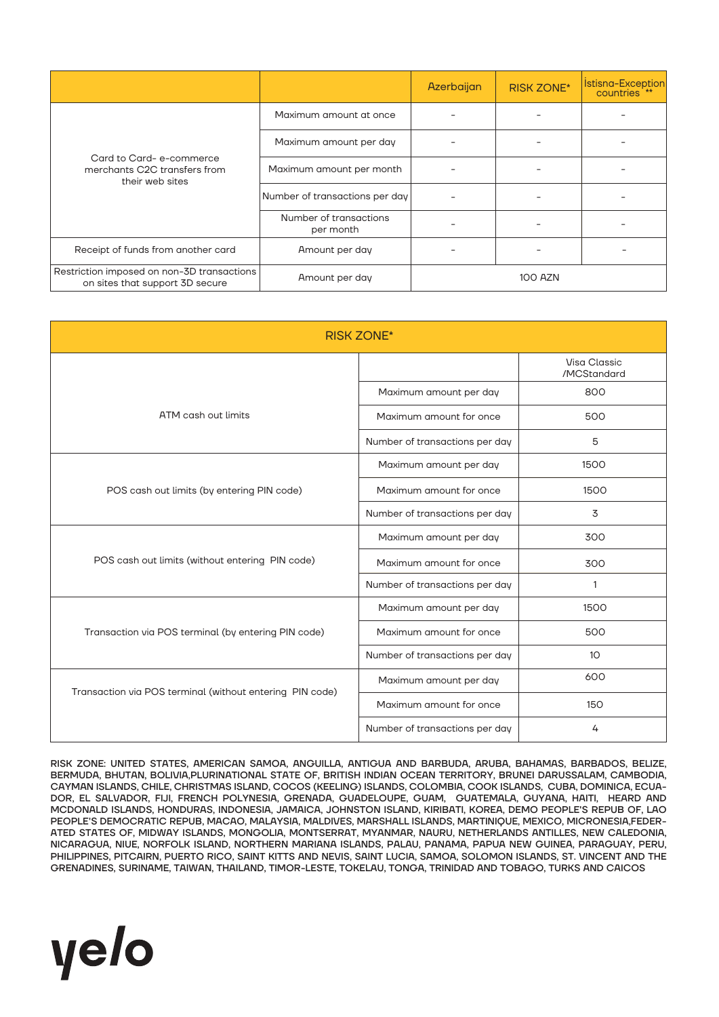|                                                                               |                                     | Azerbaijan     | <b>RISK ZONE*</b> | Istisna-Exception |
|-------------------------------------------------------------------------------|-------------------------------------|----------------|-------------------|-------------------|
| Card to Card-e-commerce<br>merchants C2C transfers from<br>their web sites    | Maximum amount at once              |                |                   |                   |
|                                                                               | Maximum amount per day              |                |                   |                   |
|                                                                               | Maximum amount per month            |                |                   |                   |
|                                                                               | Number of transactions per day      |                |                   |                   |
|                                                                               | Number of transactions<br>per month |                |                   |                   |
| Receipt of funds from another card                                            | Amount per day                      |                |                   |                   |
| Restriction imposed on non-3D transactions<br>on sites that support 3D secure | Amount per day                      | <b>100 AZN</b> |                   |                   |

| <b>RISK ZONE*</b>                                        |                                |                                    |  |  |
|----------------------------------------------------------|--------------------------------|------------------------------------|--|--|
|                                                          |                                | <b>Visa Classic</b><br>/MCStandard |  |  |
|                                                          | Maximum amount per day         | 800                                |  |  |
| ATM cash out limits                                      | Maximum amount for once        | 500                                |  |  |
|                                                          | Number of transactions per day | 5                                  |  |  |
|                                                          | Maximum amount per day         | 1500                               |  |  |
| POS cash out limits (by entering PIN code)               | Maximum amount for once        | 1500                               |  |  |
|                                                          | Number of transactions per day | 3                                  |  |  |
|                                                          | Maximum amount per day         | 300                                |  |  |
| POS cash out limits (without entering PIN code)          | Maximum amount for once        | 300                                |  |  |
|                                                          | Number of transactions per day | $\mathbf{1}$                       |  |  |
|                                                          | Maximum amount per day         | 1500                               |  |  |
| Transaction via POS terminal (by entering PIN code)      | Maximum amount for once        | 500                                |  |  |
|                                                          | Number of transactions per day | 10 <sup>°</sup>                    |  |  |
| Transaction via POS terminal (without entering PIN code) | Maximum amount per day         | 600                                |  |  |
|                                                          | Maximum amount for once        | 150                                |  |  |
|                                                          | Number of transactions per day | 4                                  |  |  |

RISK ZONE: UNITED STATES, AMERICAN SAMOA, ANGUILLA, ANTIGUA AND BARBUDA, ARUBA, BAHAMAS, BARBADOS, BELIZE, BERMUDA, BHUTAN, BOLIVIA,PLURINATIONAL STATE OF, BRITISH INDIAN OCEAN TERRITORY, BRUNEI DARUSSALAM, CAMBODIA, CAYMAN ISLANDS, CHILE, CHRISTMAS ISLAND, COCOS (KEELING) ISLANDS, COLOMBIA, COOK ISLANDS, CUBA, DOMINICA, ECUA-DOR, EL SALVADOR, FIJI, FRENCH POLYNESIA, GRENADA, GUADELOUPE, GUAM, GUATEMALA, GUYANA, HAITI, HEARD AND MCDONALD ISLANDS, HONDURAS, INDONESIA, JAMAICA, JOHNSTON ISLAND, KIRIBATI, KOREA, DEMO PEOPLE'S REPUB OF, LAO PEOPLE'S DEMOCRATIC REPUB, MACAO, MALAYSIA, MALDIVES, MARSHALL ISLANDS, MARTINIQUE, MEXICO, MICRONESIA,FEDER-ATED STATES OF, MIDWAY ISLANDS, MONGOLIA, MONTSERRAT, MYANMAR, NAURU, NETHERLANDS ANTILLES, NEW CALEDONIA, NICARAGUA, NIUE, NORFOLK ISLAND, NORTHERN MARIANA ISLANDS, PALAU, PANAMA, PAPUA NEW GUINEA, PARAGUAY, PERU, PHILIPPINES, PITCAIRN, PUERTO RICO, SAINT KITTS AND NEVIS, SAINT LUCIA, SAMOA, SOLOMON ISLANDS, ST. VINCENT AND THE GRENADINES, SURINAME, TAIWAN, THAILAND, TIMOR-LESTE, TOKELAU, TONGA, TRINIDAD AND TOBAGO, TURKS AND CAICOS